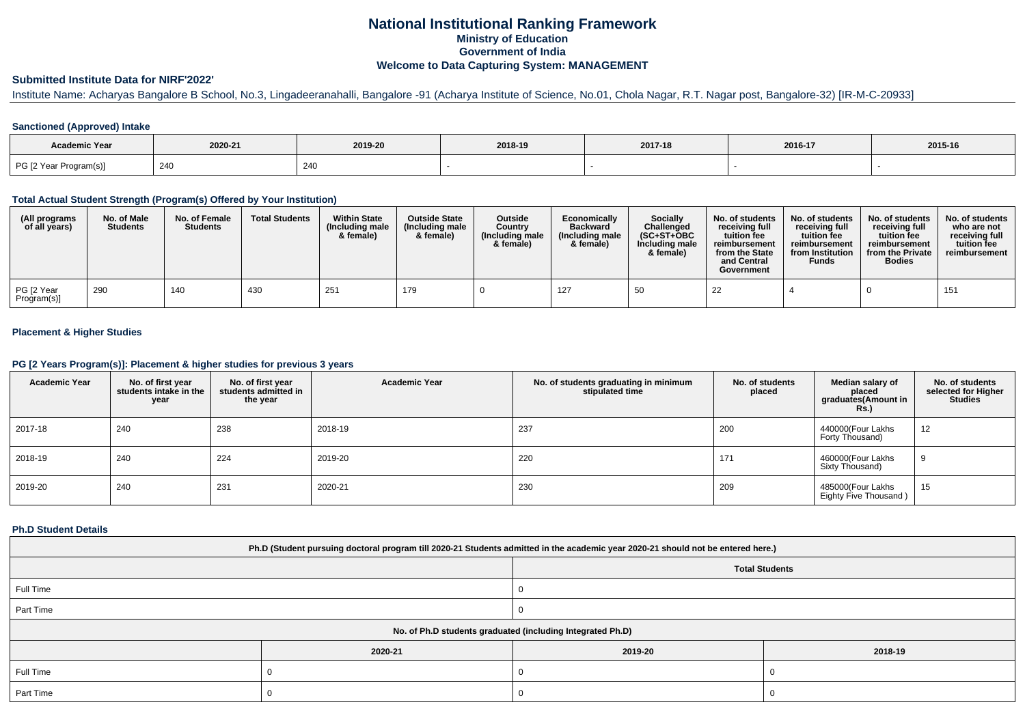## **National Institutional Ranking FrameworkMinistry of Education Government of IndiaWelcome to Data Capturing System: MANAGEMENT**

# **Submitted Institute Data for NIRF'2022'**

# Institute Name: Acharyas Bangalore B School, No.3, Lingadeeranahalli, Bangalore -91 (Acharya Institute of Science, No.01, Chola Nagar, R.T. Nagar post, Bangalore-32) [IR-M-C-20933]

### **Sanctioned (Approved) Intake**

| Academic Year          |         |         |         |         |         |         |
|------------------------|---------|---------|---------|---------|---------|---------|
|                        | 2020-21 | 2019-20 | 2018-19 | 2017-18 | 2016-17 | 2015-16 |
| PG [2 Year Program(s)] | 24C     | 240     |         |         |         |         |

#### **Total Actual Student Strength (Program(s) Offered by Your Institution)**

| (All programs<br>of all years) | No. of Male<br><b>Students</b> | No. of Female<br>Students | <b>Total Students</b> | <b>Within State</b><br>(Including male<br>& female) | <b>Outside State</b><br>(Including male<br>& female) | Outside<br>Country<br>(Including male)<br>& female) | Economically<br><b>Backward</b><br>(Including male)<br>& female) | <b>Socially</b><br>Challenged<br>(SC+ST+OBC<br>Including male<br>& female) | No. of students<br>receiving full<br>tuition fee<br>reimbursement<br>from the State<br>and Central<br>Government | No. of students<br>receiving full<br>tuition fee<br>reimbursement<br>from Institution<br><b>Funds</b> | No. of students<br>receiving full<br>tuition fee<br>reimbursement<br>from the Private<br><b>Bodies</b> | No. of students<br>who are not<br>receiving full<br>tuition fee<br>reimbursement |
|--------------------------------|--------------------------------|---------------------------|-----------------------|-----------------------------------------------------|------------------------------------------------------|-----------------------------------------------------|------------------------------------------------------------------|----------------------------------------------------------------------------|------------------------------------------------------------------------------------------------------------------|-------------------------------------------------------------------------------------------------------|--------------------------------------------------------------------------------------------------------|----------------------------------------------------------------------------------|
| PG [2 Year<br>Program(s)]      | 290                            | 140                       | 430                   | 251                                                 | 179                                                  |                                                     | 127                                                              | 50                                                                         | 22                                                                                                               |                                                                                                       |                                                                                                        | 151                                                                              |

### **Placement & Higher Studies**

#### **PG [2 Years Program(s)]: Placement & higher studies for previous 3 years**

| <b>Academic Year</b> | No. of first year<br>students intake in the<br>year | No. of first vear<br>students admitted in<br>the year | <b>Academic Year</b> | No. of students graduating in minimum<br>stipulated time | No. of students<br>placed | Median salary of<br>placed<br>graduates(Amount in<br><b>Rs.)</b> | No. of students<br>selected for Higher<br><b>Studies</b> |
|----------------------|-----------------------------------------------------|-------------------------------------------------------|----------------------|----------------------------------------------------------|---------------------------|------------------------------------------------------------------|----------------------------------------------------------|
| 2017-18              | 240                                                 | 238                                                   | 2018-19              | 237                                                      | 200                       | 440000(Four Lakhs<br>Forty Thousand)                             | 12                                                       |
| 2018-19              | 240                                                 | 224                                                   | 2019-20              | 220                                                      | 171                       | 460000(Four Lakhs<br>Sixty Thousand)                             |                                                          |
| 2019-20              | 240                                                 | 231                                                   | 2020-21              | 230                                                      | 209                       | 485000(Four Lakhs<br>Eighty Five Thousand)                       | 15                                                       |

#### **Ph.D Student Details**

| Ph.D (Student pursuing doctoral program till 2020-21 Students admitted in the academic year 2020-21 should not be entered here.) |                                                            |         |         |  |  |  |  |
|----------------------------------------------------------------------------------------------------------------------------------|------------------------------------------------------------|---------|---------|--|--|--|--|
| <b>Total Students</b>                                                                                                            |                                                            |         |         |  |  |  |  |
| Full Time                                                                                                                        |                                                            |         |         |  |  |  |  |
| Part Time                                                                                                                        |                                                            |         |         |  |  |  |  |
|                                                                                                                                  | No. of Ph.D students graduated (including Integrated Ph.D) |         |         |  |  |  |  |
|                                                                                                                                  | 2020-21                                                    | 2019-20 | 2018-19 |  |  |  |  |
| Full Time                                                                                                                        |                                                            |         |         |  |  |  |  |
| Part Time                                                                                                                        |                                                            |         |         |  |  |  |  |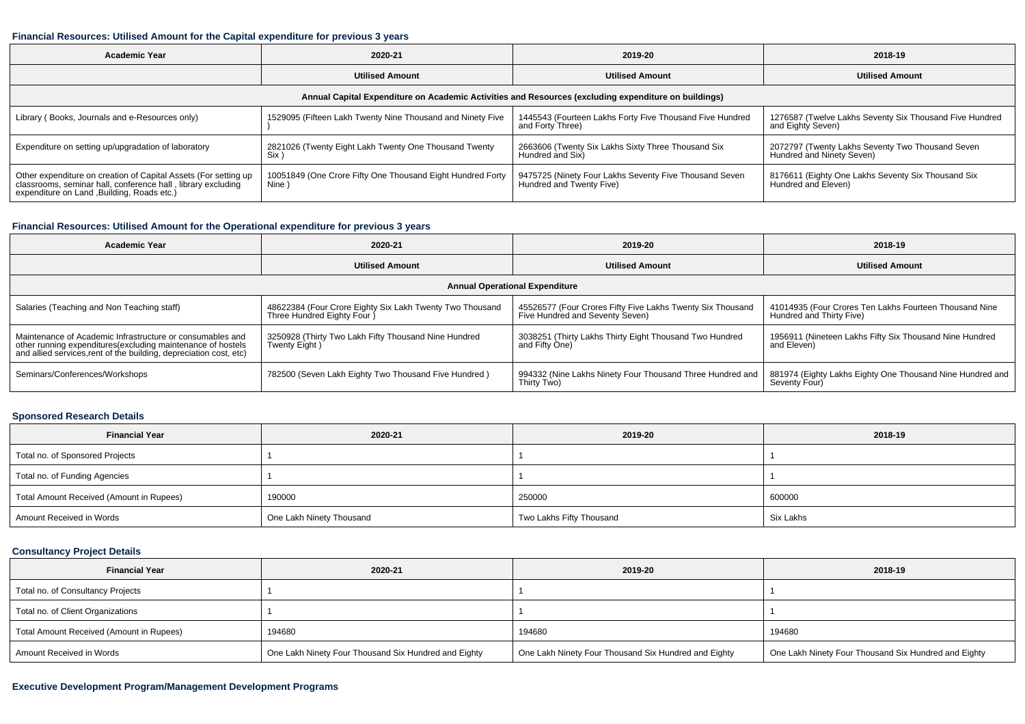#### **Financial Resources: Utilised Amount for the Capital expenditure for previous 3 years**

| <b>Academic Year</b><br>2020-21                                                                                                                                                |                                                                      | 2019-20                                                                            | 2018-19                                                                       |  |  |  |  |  |  |
|--------------------------------------------------------------------------------------------------------------------------------------------------------------------------------|----------------------------------------------------------------------|------------------------------------------------------------------------------------|-------------------------------------------------------------------------------|--|--|--|--|--|--|
| <b>Utilised Amount</b>                                                                                                                                                         |                                                                      | <b>Utilised Amount</b>                                                             | <b>Utilised Amount</b>                                                        |  |  |  |  |  |  |
| Annual Capital Expenditure on Academic Activities and Resources (excluding expenditure on buildings)                                                                           |                                                                      |                                                                                    |                                                                               |  |  |  |  |  |  |
| Library (Books, Journals and e-Resources only)                                                                                                                                 | 1529095 (Fifteen Lakh Twenty Nine Thousand and Ninety Five           | 1445543 (Fourteen Lakhs Forty Five Thousand Five Hundred<br>and Forty Three)       | 1276587 (Twelve Lakhs Seventy Six Thousand Five Hundred<br>and Eighty Seven)  |  |  |  |  |  |  |
| Expenditure on setting up/upgradation of laboratory                                                                                                                            | 2821026 (Twenty Eight Lakh Twenty One Thousand Twenty<br>Six         | 2663606 (Twenty Six Lakhs Sixty Three Thousand Six<br>Hundred and Six)             | 2072797 (Twenty Lakhs Seventy Two Thousand Seven<br>Hundred and Ninety Seven) |  |  |  |  |  |  |
| Other expenditure on creation of Capital Assets (For setting up<br>classrooms, seminar hall, conference hall, library excluding<br>expenditure on Land , Building, Roads etc.) | 10051849 (One Crore Fifty One Thousand Eight Hundred Forty<br>Nine ) | 9475725 (Ninety Four Lakhs Seventy Five Thousand Seven<br>Hundred and Twenty Five) | 8176611 (Eighty One Lakhs Seventy Six Thousand Six<br>Hundred and Eleven)     |  |  |  |  |  |  |

### **Financial Resources: Utilised Amount for the Operational expenditure for previous 3 years**

| Academic Year                                                                                                                                                                                  | 2020-21                                                                                 | 2019-20                                                                                       | 2018-19                                                                            |  |  |  |  |  |  |
|------------------------------------------------------------------------------------------------------------------------------------------------------------------------------------------------|-----------------------------------------------------------------------------------------|-----------------------------------------------------------------------------------------------|------------------------------------------------------------------------------------|--|--|--|--|--|--|
|                                                                                                                                                                                                | <b>Utilised Amount</b>                                                                  | <b>Utilised Amount</b>                                                                        | <b>Utilised Amount</b>                                                             |  |  |  |  |  |  |
| <b>Annual Operational Expenditure</b>                                                                                                                                                          |                                                                                         |                                                                                               |                                                                                    |  |  |  |  |  |  |
| Salaries (Teaching and Non Teaching staff)                                                                                                                                                     | 48622384 (Four Crore Eighty Six Lakh Twenty Two Thousand<br>Three Hundred Eighty Four ) | 45526577 (Four Crores Fifty Five Lakhs Twenty Six Thousand<br>Five Hundred and Seventy Seven) | 41014935 (Four Crores Ten Lakhs Fourteen Thousand Nine<br>Hundred and Thirty Five) |  |  |  |  |  |  |
| Maintenance of Academic Infrastructure or consumables and<br>other running expenditures(excluding maintenance of hostels<br>and allied services, rent of the building, depreciation cost, etc) | 3250928 (Thirty Two Lakh Fifty Thousand Nine Hundred<br>Twenty Eight)                   | 3038251 (Thirty Lakhs Thirty Eight Thousand Two Hundred<br>and Fifty One)                     | 1956911 (Nineteen Lakhs Fifty Six Thousand Nine Hundred<br>and Eleven)             |  |  |  |  |  |  |
| Seminars/Conferences/Workshops                                                                                                                                                                 | 782500 (Seven Lakh Eighty Two Thousand Five Hundred)                                    | 994332 (Nine Lakhs Ninety Four Thousand Three Hundred and<br>Thirty Two)                      | 881974 (Eighty Lakhs Eighty One Thousand Nine Hundred and<br>Seventy Four)         |  |  |  |  |  |  |

### **Sponsored Research Details**

| <b>Financial Year</b>                    | 2020-21                  | 2019-20                  | 2018-19   |
|------------------------------------------|--------------------------|--------------------------|-----------|
| Total no. of Sponsored Projects          |                          |                          |           |
| Total no. of Funding Agencies            |                          |                          |           |
| Total Amount Received (Amount in Rupees) | 190000                   | 250000                   | 600000    |
| Amount Received in Words                 | One Lakh Ninety Thousand | Two Lakhs Fifty Thousand | Six Lakhs |

## **Consultancy Project Details**

| <b>Financial Year</b>                    | 2020-21                                              | 2019-20                                              | 2018-19                                              |
|------------------------------------------|------------------------------------------------------|------------------------------------------------------|------------------------------------------------------|
| Total no. of Consultancy Projects        |                                                      |                                                      |                                                      |
| Total no. of Client Organizations        |                                                      |                                                      |                                                      |
| Total Amount Received (Amount in Rupees) | 194680                                               | 194680                                               | 194680                                               |
| Amount Received in Words                 | One Lakh Ninety Four Thousand Six Hundred and Eighty | One Lakh Ninety Four Thousand Six Hundred and Eighty | One Lakh Ninety Four Thousand Six Hundred and Eighty |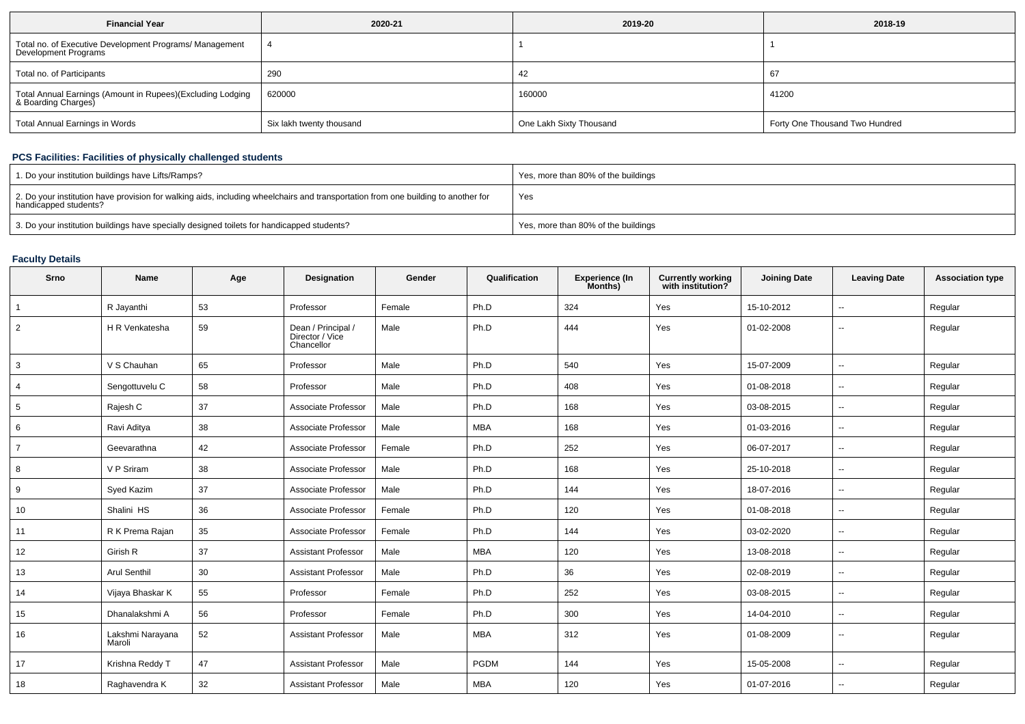| <b>Financial Year</b>                                                             | 2020-21                  | 2019-20                 | 2018-19                        |
|-----------------------------------------------------------------------------------|--------------------------|-------------------------|--------------------------------|
| Total no. of Executive Development Programs/ Management<br>Development Programs   |                          |                         |                                |
| Total no. of Participants                                                         | 290                      | 42                      | 67                             |
| Total Annual Earnings (Amount in Rupees)(Excluding Lodging<br>& Boarding Charges) | 620000                   | 160000                  | 41200                          |
| Total Annual Earnings in Words                                                    | Six lakh twenty thousand | One Lakh Sixty Thousand | Forty One Thousand Two Hundred |

## **PCS Facilities: Facilities of physically challenged students**

| 1. Do your institution buildings have Lifts/Ramps?                                                                                                         | Yes, more than 80% of the buildings |
|------------------------------------------------------------------------------------------------------------------------------------------------------------|-------------------------------------|
| 2. Do your institution have provision for walking aids, including wheelchairs and transportation from one building to another for<br>handicapped students? | Yes                                 |
| 3. Do your institution buildings have specially designed toilets for handicapped students?                                                                 | Yes, more than 80% of the buildings |

## **Faculty Details**

| Srno           | Name                       | Age | Designation                                         | Gender | Qualification | <b>Experience (In</b><br>Months) | <b>Currently working</b><br>with institution? | <b>Joining Date</b> | <b>Leaving Date</b>      | <b>Association type</b> |
|----------------|----------------------------|-----|-----------------------------------------------------|--------|---------------|----------------------------------|-----------------------------------------------|---------------------|--------------------------|-------------------------|
|                | R Jayanthi                 | 53  | Professor                                           | Female | Ph.D          | 324                              | Yes                                           | 15-10-2012          | $-$                      | Regular                 |
| 2              | H R Venkatesha             | 59  | Dean / Principal /<br>Director / Vice<br>Chancellor | Male   | Ph.D          | 444                              | Yes                                           | 01-02-2008          | $\overline{a}$           | Regular                 |
| 3              | V S Chauhan                | 65  | Professor                                           | Male   | Ph.D          | 540                              | Yes                                           | 15-07-2009          | $\overline{\phantom{a}}$ | Regular                 |
| $\overline{4}$ | Sengottuvelu C             | 58  | Professor                                           | Male   | Ph.D          | 408                              | Yes                                           | 01-08-2018          | $\overline{\phantom{a}}$ | Regular                 |
| 5              | Rajesh C                   | 37  | Associate Professor                                 | Male   | Ph.D          | 168                              | Yes                                           | 03-08-2015          | $\overline{\phantom{a}}$ | Regular                 |
| 6              | Ravi Aditya                | 38  | Associate Professor                                 | Male   | MBA           | 168                              | Yes                                           | 01-03-2016          | ۰.                       | Regular                 |
| $\overline{7}$ | Geevarathna                | 42  | Associate Professor                                 | Female | Ph.D          | 252                              | Yes                                           | 06-07-2017          | $\overline{\phantom{a}}$ | Regular                 |
| 8              | V P Sriram                 | 38  | Associate Professor                                 | Male   | Ph.D          | 168                              | Yes                                           | 25-10-2018          | $\sim$                   | Regular                 |
| 9              | Syed Kazim                 | 37  | Associate Professor                                 | Male   | Ph.D          | 144                              | Yes                                           | 18-07-2016          | ۰.                       | Regular                 |
| 10             | Shalini HS                 | 36  | Associate Professor                                 | Female | Ph.D          | 120                              | Yes                                           | 01-08-2018          | $\overline{\phantom{a}}$ | Regular                 |
| 11             | R K Prema Rajan            | 35  | Associate Professor                                 | Female | Ph.D          | 144                              | Yes                                           | 03-02-2020          | $\overline{\phantom{a}}$ | Regular                 |
| 12             | Girish R                   | 37  | <b>Assistant Professor</b>                          | Male   | <b>MBA</b>    | 120                              | Yes                                           | 13-08-2018          | $\overline{\phantom{a}}$ | Regular                 |
| 13             | <b>Arul Senthil</b>        | 30  | <b>Assistant Professor</b>                          | Male   | Ph.D          | 36                               | Yes                                           | 02-08-2019          | −−                       | Regular                 |
| 14             | Vijaya Bhaskar K           | 55  | Professor                                           | Female | Ph.D          | 252                              | Yes                                           | 03-08-2015          | ۰.                       | Regular                 |
| 15             | Dhanalakshmi A             | 56  | Professor                                           | Female | Ph.D          | 300                              | Yes                                           | 14-04-2010          | ۰.                       | Regular                 |
| 16             | Lakshmi Narayana<br>Maroli | 52  | <b>Assistant Professor</b>                          | Male   | <b>MBA</b>    | 312                              | Yes                                           | 01-08-2009          | ۰.                       | Regular                 |
| 17             | Krishna Reddy T            | 47  | <b>Assistant Professor</b>                          | Male   | <b>PGDM</b>   | 144                              | Yes                                           | 15-05-2008          | $\overline{\phantom{a}}$ | Regular                 |
| 18             | Raghavendra K              | 32  | <b>Assistant Professor</b>                          | Male   | <b>MBA</b>    | 120                              | Yes                                           | 01-07-2016          | $-$                      | Regular                 |